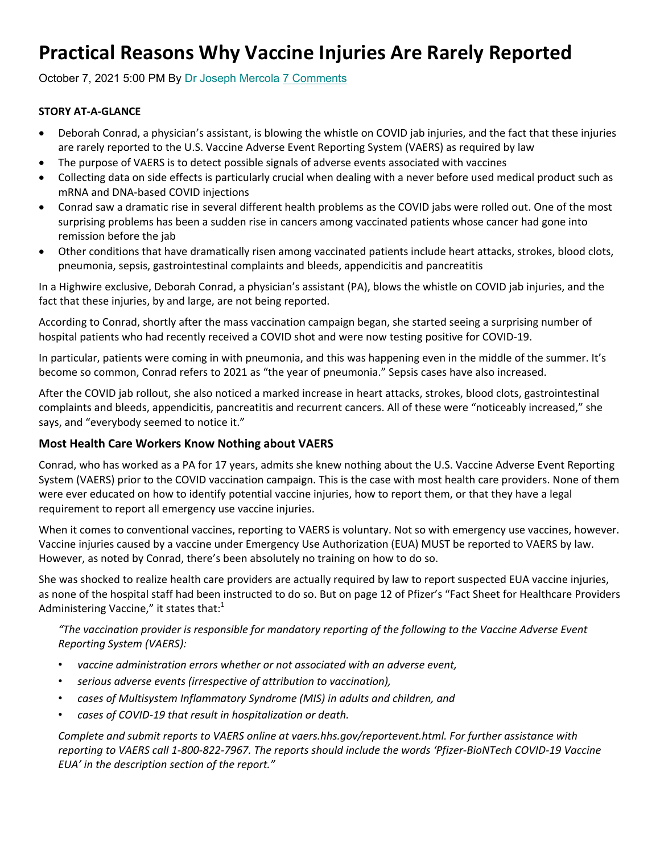# **Practical Reasons Why Vaccine Injuries Are Rarely Reported**

October 7, 2021 5:00 PM By Dr Joseph Mercola 7 Comments

#### **STORY AT‐A‐GLANCE**

- Deborah Conrad, a physician's assistant, is blowing the whistle on COVID jab injuries, and the fact that these injuries are rarely reported to the U.S. Vaccine Adverse Event Reporting System (VAERS) as required by law
- The purpose of VAERS is to detect possible signals of adverse events associated with vaccines
- Collecting data on side effects is particularly crucial when dealing with a never before used medical product such as mRNA and DNA‐based COVID injections
- Conrad saw a dramatic rise in several different health problems as the COVID jabs were rolled out. One of the most surprising problems has been a sudden rise in cancers among vaccinated patients whose cancer had gone into remission before the jab
- Other conditions that have dramatically risen among vaccinated patients include heart attacks, strokes, blood clots, pneumonia, sepsis, gastrointestinal complaints and bleeds, appendicitis and pancreatitis

In a Highwire exclusive, Deborah Conrad, a physician's assistant (PA), blows the whistle on COVID jab injuries, and the fact that these injuries, by and large, are not being reported.

According to Conrad, shortly after the mass vaccination campaign began, she started seeing a surprising number of hospital patients who had recently received a COVID shot and were now testing positive for COVID‐19.

In particular, patients were coming in with pneumonia, and this was happening even in the middle of the summer. It's become so common, Conrad refers to 2021 as "the year of pneumonia." Sepsis cases have also increased.

After the COVID jab rollout, she also noticed a marked increase in heart attacks, strokes, blood clots, gastrointestinal complaints and bleeds, appendicitis, pancreatitis and recurrent cancers. All of these were "noticeably increased," she says, and "everybody seemed to notice it."

#### **Most Health Care Workers Know Nothing about VAERS**

Conrad, who has worked as a PA for 17 years, admits she knew nothing about the U.S. Vaccine Adverse Event Reporting System (VAERS) prior to the COVID vaccination campaign. This is the case with most health care providers. None of them were ever educated on how to identify potential vaccine injuries, how to report them, or that they have a legal requirement to report all emergency use vaccine injuries.

When it comes to conventional vaccines, reporting to VAERS is voluntary. Not so with emergency use vaccines, however. Vaccine injuries caused by a vaccine under Emergency Use Authorization (EUA) MUST be reported to VAERS by law. However, as noted by Conrad, there's been absolutely no training on how to do so.

She was shocked to realize health care providers are actually required by law to report suspected EUA vaccine injuries, as none of the hospital staff had been instructed to do so. But on page 12 of Pfizer's "Fact Sheet for Healthcare Providers Administering Vaccine," it states that: $1$ 

*"The vaccination provider is responsible for mandatory reporting of the following to the Vaccine Adverse Event Reporting System (VAERS):*

- *vaccine administration errors whether or not associated with an adverse event,*
- *serious adverse events (irrespective of attribution to vaccination),*
- *cases of Multisystem Inflammatory Syndrome (MIS) in adults and children, and*
- *cases of COVID‐19 that result in hospitalization or death.*

*Complete and submit reports to VAERS online at vaers.hhs.gov/reportevent.html. For further assistance with reporting to VAERS call 1‐800‐822‐7967. The reports should include the words 'Pfizer‐BioNTech COVID‐19 Vaccine EUA' in the description section of the report."*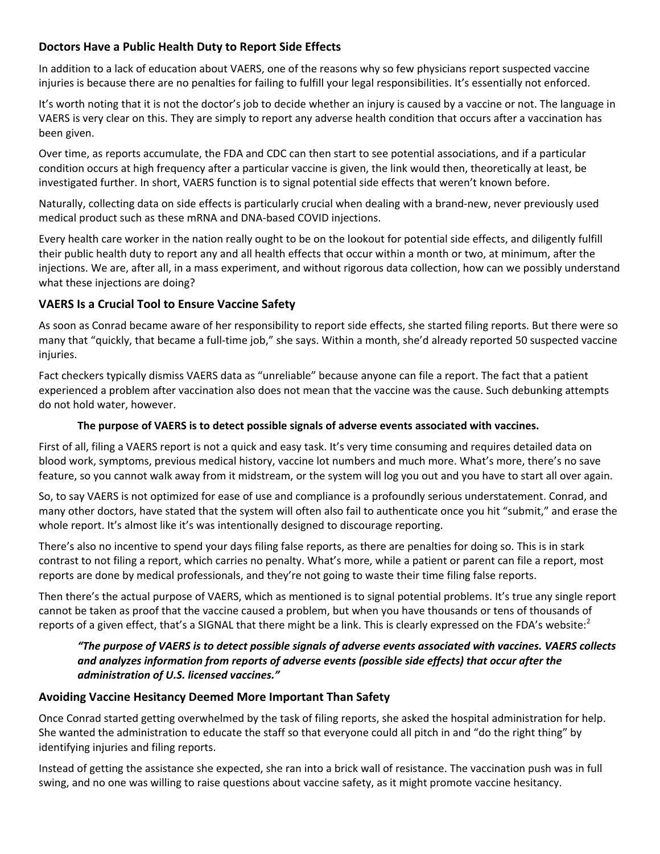# **Doctors Have a Public Health Duty to Report Side Effects**

In addition to a lack of education about VAERS, one of the reasons why so few physicians report suspected vaccine injuries is because there are no penalties for failing to fulfill your legal responsibilities. It's essentially not enforced.

It's worth noting that it is not the doctor's job to decide whether an injury is caused by a vaccine or not. The language in VAERS is very clear on this. They are simply to report any adverse health condition that occurs after a vaccination has been given.

Over time, as reports accumulate, the FDA and CDC can then start to see potential associations, and if a particular condition occurs at high frequency after a particular vaccine is given, the link would then, theoretically at least, be investigated further. In short, VAERS function is to signal potential side effects that weren't known before.

Naturally, collecting data on side effects is particularly crucial when dealing with a brand‐new, never previously used medical product such as these mRNA and DNA‐based COVID injections.

Every health care worker in the nation really ought to be on the lookout for potential side effects, and diligently fulfill their public health duty to report any and all health effects that occur within a month or two, at minimum, after the injections. We are, after all, in a mass experiment, and without rigorous data collection, how can we possibly understand what these injections are doing?

# **VAERS Is a Crucial Tool to Ensure Vaccine Safety**

As soon as Conrad became aware of her responsibility to report side effects, she started filing reports. But there were so many that "quickly, that became a full‐time job," she says. Within a month, she'd already reported 50 suspected vaccine injuries.

Fact checkers typically dismiss VAERS data as "unreliable" because anyone can file a report. The fact that a patient experienced a problem after vaccination also does not mean that the vaccine was the cause. Such debunking attempts do not hold water, however.

## **The purpose of VAERS is to detect possible signals of adverse events associated with vaccines.**

First of all, filing a VAERS report is not a quick and easy task. It's very time consuming and requires detailed data on blood work, symptoms, previous medical history, vaccine lot numbers and much more. What's more, there's no save feature, so you cannot walk away from it midstream, or the system will log you out and you have to start all over again.

So, to say VAERS is not optimized for ease of use and compliance is a profoundly serious understatement. Conrad, and many other doctors, have stated that the system will often also fail to authenticate once you hit "submit," and erase the whole report. It's almost like it's was intentionally designed to discourage reporting.

There's also no incentive to spend your days filing false reports, as there are penalties for doing so. This is in stark contrast to not filing a report, which carries no penalty. What's more, while a patient or parent can file a report, most reports are done by medical professionals, and they're not going to waste their time filing false reports.

Then there's the actual purpose of VAERS, which as mentioned is to signal potential problems. It's true any single report cannot be taken as proof that the vaccine caused a problem, but when you have thousands or tens of thousands of reports of a given effect, that's a SIGNAL that there might be a link. This is clearly expressed on the FDA's website: $2^2$ 

# *"The purpose of VAERS is to detect possible signals of adverse events associated with vaccines. VAERS collects and analyzes information from reports of adverse events (possible side effects) that occur after the administration of U.S. licensed vaccines."*

# **Avoiding Vaccine Hesitancy Deemed More Important Than Safety**

Once Conrad started getting overwhelmed by the task of filing reports, she asked the hospital administration for help. She wanted the administration to educate the staff so that everyone could all pitch in and "do the right thing" by identifying injuries and filing reports.

Instead of getting the assistance she expected, she ran into a brick wall of resistance. The vaccination push was in full swing, and no one was willing to raise questions about vaccine safety, as it might promote vaccine hesitancy.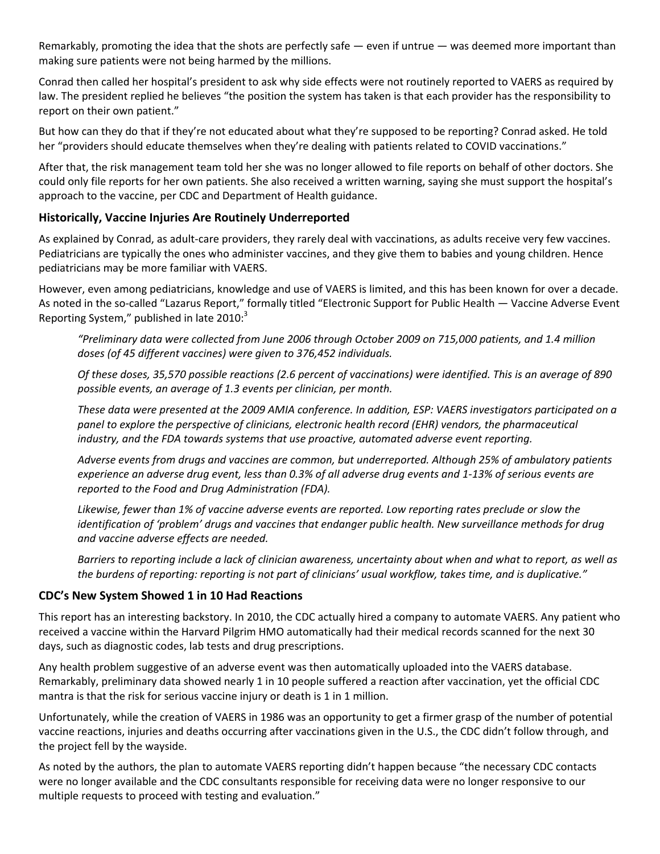Remarkably, promoting the idea that the shots are perfectly safe — even if untrue — was deemed more important than making sure patients were not being harmed by the millions.

Conrad then called her hospital's president to ask why side effects were not routinely reported to VAERS as required by law. The president replied he believes "the position the system has taken is that each provider has the responsibility to report on their own patient."

But how can they do that if they're not educated about what they're supposed to be reporting? Conrad asked. He told her "providers should educate themselves when they're dealing with patients related to COVID vaccinations."

After that, the risk management team told her she was no longer allowed to file reports on behalf of other doctors. She could only file reports for her own patients. She also received a written warning, saying she must support the hospital's approach to the vaccine, per CDC and Department of Health guidance.

#### **Historically, Vaccine Injuries Are Routinely Underreported**

As explained by Conrad, as adult-care providers, they rarely deal with vaccinations, as adults receive very few vaccines. Pediatricians are typically the ones who administer vaccines, and they give them to babies and young children. Hence pediatricians may be more familiar with VAERS.

However, even among pediatricians, knowledge and use of VAERS is limited, and this has been known for over a decade. As noted in the so-called "Lazarus Report," formally titled "Electronic Support for Public Health — Vaccine Adverse Event Reporting System," published in late  $2010$ : $3$ 

*"Preliminary data were collected from June 2006 through October 2009 on 715,000 patients, and 1.4 million doses (of 45 different vaccines) were given to 376,452 individuals.*

*Of these doses, 35,570 possible reactions (2.6 percent of vaccinations) were identified. This is an average of 890 possible events, an average of 1.3 events per clinician, per month.*

*These data were presented at the 2009 AMIA conference. In addition, ESP: VAERS investigators participated on a panel to explore the perspective of clinicians, electronic health record (EHR) vendors, the pharmaceutical industry, and the FDA towards systems that use proactive, automated adverse event reporting.*

*Adverse events from drugs and vaccines are common, but underreported. Although 25% of ambulatory patients experience an adverse drug event, less than 0.3% of all adverse drug events and 1‐13% of serious events are reported to the Food and Drug Administration (FDA).*

*Likewise, fewer than 1% of vaccine adverse events are reported. Low reporting rates preclude or slow the identification of 'problem' drugs and vaccines that endanger public health. New surveillance methods for drug and vaccine adverse effects are needed.*

*Barriers to reporting include a lack of clinician awareness, uncertainty about when and what to report, as well as the burdens of reporting: reporting is not part of clinicians' usual workflow, takes time, and is duplicative."*

#### **CDC's New System Showed 1 in 10 Had Reactions**

This report has an interesting backstory. In 2010, the CDC actually hired a company to automate VAERS. Any patient who received a vaccine within the Harvard Pilgrim HMO automatically had their medical records scanned for the next 30 days, such as diagnostic codes, lab tests and drug prescriptions.

Any health problem suggestive of an adverse event was then automatically uploaded into the VAERS database. Remarkably, preliminary data showed nearly 1 in 10 people suffered a reaction after vaccination, yet the official CDC mantra is that the risk for serious vaccine injury or death is 1 in 1 million.

Unfortunately, while the creation of VAERS in 1986 was an opportunity to get a firmer grasp of the number of potential vaccine reactions, injuries and deaths occurring after vaccinations given in the U.S., the CDC didn't follow through, and the project fell by the wayside.

As noted by the authors, the plan to automate VAERS reporting didn't happen because "the necessary CDC contacts were no longer available and the CDC consultants responsible for receiving data were no longer responsive to our multiple requests to proceed with testing and evaluation."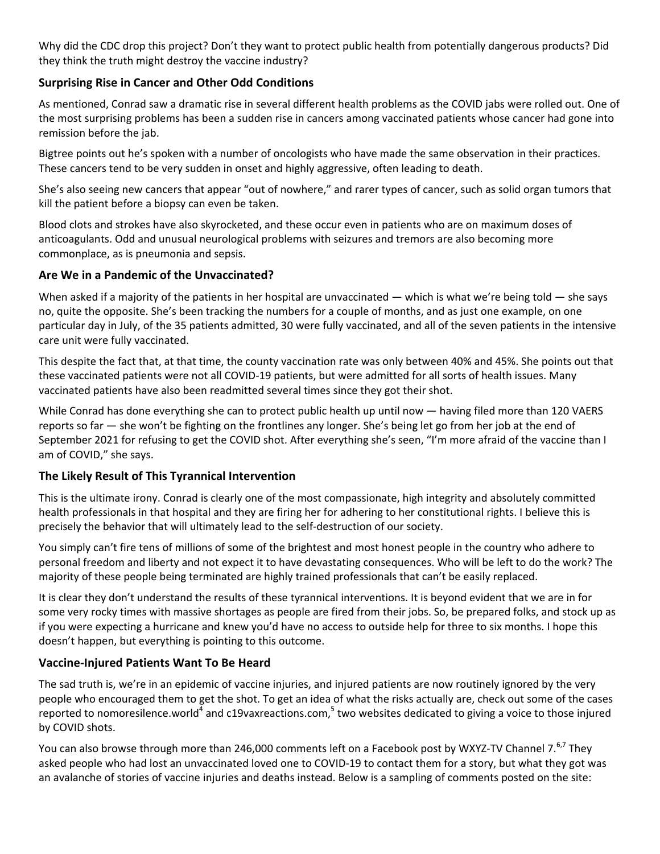Why did the CDC drop this project? Don't they want to protect public health from potentially dangerous products? Did they think the truth might destroy the vaccine industry?

# **Surprising Rise in Cancer and Other Odd Conditions**

As mentioned, Conrad saw a dramatic rise in several different health problems as the COVID jabs were rolled out. One of the most surprising problems has been a sudden rise in cancers among vaccinated patients whose cancer had gone into remission before the jab.

Bigtree points out he's spoken with a number of oncologists who have made the same observation in their practices. These cancers tend to be very sudden in onset and highly aggressive, often leading to death.

She's also seeing new cancers that appear "out of nowhere," and rarer types of cancer, such as solid organ tumors that kill the patient before a biopsy can even be taken.

Blood clots and strokes have also skyrocketed, and these occur even in patients who are on maximum doses of anticoagulants. Odd and unusual neurological problems with seizures and tremors are also becoming more commonplace, as is pneumonia and sepsis.

# **Are We in a Pandemic of the Unvaccinated?**

When asked if a majority of the patients in her hospital are unvaccinated  $-$  which is what we're being told  $-$  she says no, quite the opposite. She's been tracking the numbers for a couple of months, and as just one example, on one particular day in July, of the 35 patients admitted, 30 were fully vaccinated, and all of the seven patients in the intensive care unit were fully vaccinated.

This despite the fact that, at that time, the county vaccination rate was only between 40% and 45%. She points out that these vaccinated patients were not all COVID‐19 patients, but were admitted for all sorts of health issues. Many vaccinated patients have also been readmitted several times since they got their shot.

While Conrad has done everything she can to protect public health up until now — having filed more than 120 VAERS reports so far — she won't be fighting on the frontlines any longer. She's being let go from her job at the end of September 2021 for refusing to get the COVID shot. After everything she's seen, "I'm more afraid of the vaccine than I am of COVID," she says.

#### **The Likely Result of This Tyrannical Intervention**

This is the ultimate irony. Conrad is clearly one of the most compassionate, high integrity and absolutely committed health professionals in that hospital and they are firing her for adhering to her constitutional rights. I believe this is precisely the behavior that will ultimately lead to the self‐destruction of our society.

You simply can't fire tens of millions of some of the brightest and most honest people in the country who adhere to personal freedom and liberty and not expect it to have devastating consequences. Who will be left to do the work? The majority of these people being terminated are highly trained professionals that can't be easily replaced.

It is clear they don't understand the results of these tyrannical interventions. It is beyond evident that we are in for some very rocky times with massive shortages as people are fired from their jobs. So, be prepared folks, and stock up as if you were expecting a hurricane and knew you'd have no access to outside help for three to six months. I hope this doesn't happen, but everything is pointing to this outcome.

# **Vaccine‐Injured Patients Want To Be Heard**

The sad truth is, we're in an epidemic of vaccine injuries, and injured patients are now routinely ignored by the very people who encouraged them to get the shot. To get an idea of what the risks actually are, check out some of the cases reported to nomoresilence.world<sup>4</sup> and c19vaxreactions.com,<sup>5</sup> two websites dedicated to giving a voice to those injured by COVID shots.

You can also browse through more than 246,000 comments left on a Facebook post by WXYZ-TV Channel 7.<sup>6,7</sup> They asked people who had lost an unvaccinated loved one to COVID‐19 to contact them for a story, but what they got was an avalanche of stories of vaccine injuries and deaths instead. Below is a sampling of comments posted on the site: